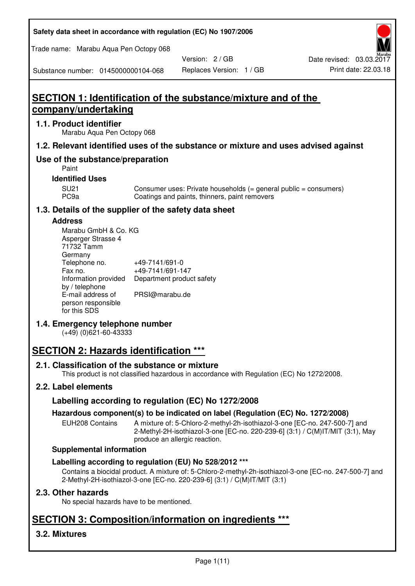**Safety data sheet in accordance with regulation (EC) No 1907/2006** 

Trade name: Marabu Aqua Pen Octopy 068

Version: 2 / GB

Substance number: 0145000000104-068

# **SECTION 1: Identification of the substance/mixture and of the company/undertaking**

## **1.1. Product identifier**

Marabu Aqua Pen Octopy 068

## **1.2. Relevant identified uses of the substance or mixture and uses advised against**

## **Use of the substance/preparation**

Paint

## **Identified Uses**

SU21 Consumer uses: Private households (= general public = consumers)<br>PC9a Coatings and paints, thinners, paint removers Coatings and paints, thinners, paint removers

## **1.3. Details of the supplier of the safety data sheet**

### **Address**

| Marabu GmbH & Co. KG |                           |
|----------------------|---------------------------|
| Asperger Strasse 4   |                           |
| 71732 Tamm           |                           |
| Germany              |                           |
| Telephone no.        | +49-7141/691-0            |
| Fax no.              | +49-7141/691-147          |
| Information provided | Department product safety |
| by / telephone       |                           |
| E-mail address of    | PRSI@marabu.de            |
| person responsible   |                           |
| for this SDS         |                           |

## **1.4. Emergency telephone number**

(+49) (0)621-60-43333

# **SECTION 2: Hazards identification \*\*\***

## **2.1. Classification of the substance or mixture**

This product is not classified hazardous in accordance with Regulation (EC) No 1272/2008.

## **2.2. Label elements**

## **Labelling according to regulation (EC) No 1272/2008**

## **Hazardous component(s) to be indicated on label (Regulation (EC) No. 1272/2008)**

EUH208 Contains A mixture of: 5-Chloro-2-methyl-2h-isothiazol-3-one [EC-no. 247-500-7] and 2-Methyl-2H-isothiazol-3-one [EC-no. 220-239-6] (3:1) / C(M)IT/MIT (3:1), May produce an allergic reaction.

#### **Supplemental information**

## **Labelling according to regulation (EU) No 528/2012 \*\*\***

Contains a biocidal product. A mixture of: 5-Chloro-2-methyl-2h-isothiazol-3-one [EC-no. 247-500-7] and 2-Methyl-2H-isothiazol-3-one [EC-no. 220-239-6] (3:1) / C(M)IT/MIT (3:1)

## **2.3. Other hazards**

No special hazards have to be mentioned.

# **SECTION 3: Composition/information on ingredients \*\*\***

## **3.2. Mixtures**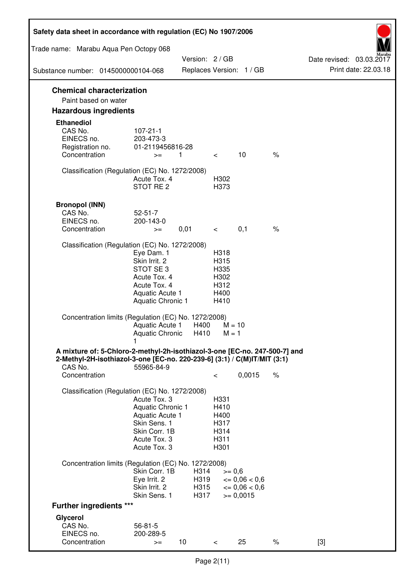| Safety data sheet in accordance with regulation (EC) No 1907/2006                                                                                                 |                                                                                                                       |                              |                                                      |                                                                  |      |                                                  |
|-------------------------------------------------------------------------------------------------------------------------------------------------------------------|-----------------------------------------------------------------------------------------------------------------------|------------------------------|------------------------------------------------------|------------------------------------------------------------------|------|--------------------------------------------------|
| Trade name: Marabu Aqua Pen Octopy 068                                                                                                                            |                                                                                                                       |                              |                                                      |                                                                  |      |                                                  |
|                                                                                                                                                                   |                                                                                                                       | Version: 2 / GB              |                                                      |                                                                  |      | Date revised: 03.03.2017<br>Print date: 22.03.18 |
| Substance number: 0145000000104-068                                                                                                                               |                                                                                                                       |                              |                                                      | Replaces Version: 1 / GB                                         |      |                                                  |
| <b>Chemical characterization</b><br>Paint based on water                                                                                                          |                                                                                                                       |                              |                                                      |                                                                  |      |                                                  |
| <b>Hazardous ingredients</b>                                                                                                                                      |                                                                                                                       |                              |                                                      |                                                                  |      |                                                  |
| <b>Ethanediol</b><br>CAS No.<br>EINECS no.<br>Registration no.<br>Concentration                                                                                   | $107 - 21 - 1$<br>203-473-3<br>01-2119456816-28<br>$>=$                                                               | 1                            | $\lt$ $\sim$                                         | 10                                                               | $\%$ |                                                  |
| Classification (Regulation (EC) No. 1272/2008)                                                                                                                    | Acute Tox. 4<br>STOT RE 2                                                                                             |                              | H302<br>H373                                         |                                                                  |      |                                                  |
| <b>Bronopol (INN)</b><br>CAS No.<br>EINECS no.<br>Concentration                                                                                                   | $52 - 51 - 7$<br>200-143-0<br>$>=$                                                                                    | 0,01                         | $\lt$ $\sim$                                         | 0,1                                                              | $\%$ |                                                  |
| Classification (Regulation (EC) No. 1272/2008)                                                                                                                    |                                                                                                                       |                              |                                                      |                                                                  |      |                                                  |
|                                                                                                                                                                   | Eye Dam. 1<br>Skin Irrit. 2<br>STOT SE3<br>Acute Tox. 4<br>Acute Tox. 4<br>Aquatic Acute 1<br>Aquatic Chronic 1       |                              | H318<br>H315<br>H335<br>H302<br>H312<br>H400<br>H410 |                                                                  |      |                                                  |
| Concentration limits (Regulation (EC) No. 1272/2008)                                                                                                              | Aquatic Acute 1<br>Aquatic Chronic $H410$ M = 1                                                                       | H400                         | $M = 10$                                             |                                                                  |      |                                                  |
| A mixture of: 5-Chloro-2-methyl-2h-isothiazol-3-one [EC-no. 247-500-7] and<br>2-Methyl-2H-isothiazol-3-one [EC-no. 220-239-6] (3:1) / C(M)IT/MIT (3:1)<br>CAS No. | 55965-84-9                                                                                                            |                              |                                                      |                                                                  |      |                                                  |
| Concentration                                                                                                                                                     |                                                                                                                       |                              | $\,<\,$                                              | 0,0015                                                           | $\%$ |                                                  |
| Classification (Regulation (EC) No. 1272/2008)                                                                                                                    | Acute Tox. 3<br>Aquatic Chronic 1<br>Aquatic Acute 1<br>Skin Sens. 1<br>Skin Corr. 1B<br>Acute Tox. 3<br>Acute Tox. 3 |                              | H331<br>H410<br>H400<br>H317<br>H314<br>H311<br>H301 |                                                                  |      |                                                  |
| Concentration limits (Regulation (EC) No. 1272/2008)                                                                                                              |                                                                                                                       |                              |                                                      |                                                                  |      |                                                  |
|                                                                                                                                                                   | Skin Corr. 1B<br>Eye Irrit. 2<br>Skin Irrit. 2<br>Skin Sens. 1                                                        | H314<br>H319<br>H315<br>H317 | $>= 0,6$                                             | $\epsilon = 0.06 < 0.6$<br>$\epsilon = 0.06 < 0.6$<br>$= 0,0015$ |      |                                                  |
| <b>Further ingredients ***</b>                                                                                                                                    |                                                                                                                       |                              |                                                      |                                                                  |      |                                                  |
| Glycerol<br>CAS No.<br>EINECS no.<br>Concentration                                                                                                                | $56 - 81 - 5$<br>200-289-5<br>$>=$                                                                                    | 10 <sup>°</sup>              | $\,<\,$                                              | 25                                                               | $\%$ | $[3]$                                            |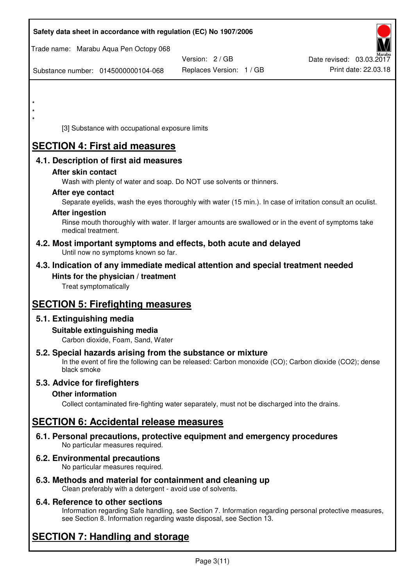| Safety data sheet in accordance with regulation (EC) No 1907/2006                                                                                                                  |                          |                          |
|------------------------------------------------------------------------------------------------------------------------------------------------------------------------------------|--------------------------|--------------------------|
| Trade name: Marabu Aqua Pen Octopy 068                                                                                                                                             | Version: 2/GB            | Date revised: 03.03.2017 |
| Substance number: 0145000000104-068                                                                                                                                                | Replaces Version: 1 / GB | Print date: 22.03.18     |
|                                                                                                                                                                                    |                          |                          |
|                                                                                                                                                                                    |                          |                          |
| $\star$                                                                                                                                                                            |                          |                          |
| [3] Substance with occupational exposure limits                                                                                                                                    |                          |                          |
| <b>SECTION 4: First aid measures</b>                                                                                                                                               |                          |                          |
| 4.1. Description of first aid measures                                                                                                                                             |                          |                          |
| After skin contact<br>Wash with plenty of water and soap. Do NOT use solvents or thinners.                                                                                         |                          |                          |
| After eye contact                                                                                                                                                                  |                          |                          |
| Separate eyelids, wash the eyes thoroughly with water (15 min.). In case of irritation consult an oculist.<br><b>After ingestion</b>                                               |                          |                          |
| Rinse mouth thoroughly with water. If larger amounts are swallowed or in the event of symptoms take<br>medical treatment.                                                          |                          |                          |
| 4.2. Most important symptoms and effects, both acute and delayed<br>Until now no symptoms known so far.                                                                            |                          |                          |
| 4.3. Indication of any immediate medical attention and special treatment needed                                                                                                    |                          |                          |
| Hints for the physician / treatment<br>Treat symptomatically                                                                                                                       |                          |                          |
| <b>SECTION 5: Firefighting measures</b>                                                                                                                                            |                          |                          |
| 5.1. Extinguishing media                                                                                                                                                           |                          |                          |
| Suitable extinguishing media<br>Carbon dioxide, Foam, Sand, Water                                                                                                                  |                          |                          |
| 5.2. Special hazards arising from the substance or mixture<br>In the event of fire the following can be released: Carbon monoxide (CO); Carbon dioxide (CO2); dense<br>black smoke |                          |                          |
| 5.3. Advice for firefighters                                                                                                                                                       |                          |                          |
| <b>Other information</b><br>Collect contaminated fire-fighting water separately, must not be discharged into the drains.                                                           |                          |                          |
| <b>SECTION 6: Accidental release measures</b>                                                                                                                                      |                          |                          |
| 6.1. Personal precautions, protective equipment and emergency procedures<br>No particular measures required.                                                                       |                          |                          |
| 6.2. Environmental precautions<br>No particular measures required.                                                                                                                 |                          |                          |
|                                                                                                                                                                                    |                          |                          |

**6.3. Methods and material for containment and cleaning up**  Clean preferably with a detergent - avoid use of solvents.

## **6.4. Reference to other sections**

Information regarding Safe handling, see Section 7. Information regarding personal protective measures, see Section 8. Information regarding waste disposal, see Section 13.

# **SECTION 7: Handling and storage**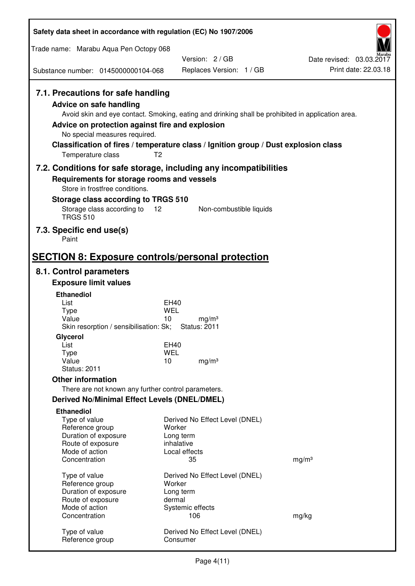| Safety data sheet in accordance with regulation (EC) No 1907/2006                                                                                                                                                                                                                                                                                                         |                                                |                   |                                                  |  |
|---------------------------------------------------------------------------------------------------------------------------------------------------------------------------------------------------------------------------------------------------------------------------------------------------------------------------------------------------------------------------|------------------------------------------------|-------------------|--------------------------------------------------|--|
| Trade name: Marabu Aqua Pen Octopy 068                                                                                                                                                                                                                                                                                                                                    |                                                |                   |                                                  |  |
|                                                                                                                                                                                                                                                                                                                                                                           | Version: 2/GB                                  |                   | Date revised: 03.03.2017<br>Print date: 22.03.18 |  |
| Substance number: 0145000000104-068                                                                                                                                                                                                                                                                                                                                       | Replaces Version: 1 / GB                       |                   |                                                  |  |
| 7.1. Precautions for safe handling<br><b>Advice on safe handling</b><br>Avoid skin and eye contact. Smoking, eating and drinking shall be prohibited in application area.<br>Advice on protection against fire and explosion<br>No special measures required.<br>Classification of fires / temperature class / Ignition group / Dust explosion class<br>Temperature class | T <sub>2</sub>                                 |                   |                                                  |  |
| 7.2. Conditions for safe storage, including any incompatibilities                                                                                                                                                                                                                                                                                                         |                                                |                   |                                                  |  |
| Requirements for storage rooms and vessels<br>Store in frostfree conditions.                                                                                                                                                                                                                                                                                              |                                                |                   |                                                  |  |
| Storage class according to TRGS 510                                                                                                                                                                                                                                                                                                                                       |                                                |                   |                                                  |  |
| Storage class according to<br><b>TRGS 510</b>                                                                                                                                                                                                                                                                                                                             | 12<br>Non-combustible liquids                  |                   |                                                  |  |
| 7.3. Specific end use(s)<br>Paint                                                                                                                                                                                                                                                                                                                                         |                                                |                   |                                                  |  |
| <b>SECTION 8: Exposure controls/personal protection</b>                                                                                                                                                                                                                                                                                                                   |                                                |                   |                                                  |  |
| 8.1. Control parameters                                                                                                                                                                                                                                                                                                                                                   |                                                |                   |                                                  |  |
| <b>Exposure limit values</b>                                                                                                                                                                                                                                                                                                                                              |                                                |                   |                                                  |  |
| <b>Ethanediol</b><br>List                                                                                                                                                                                                                                                                                                                                                 | EH40                                           |                   |                                                  |  |
| <b>Type</b>                                                                                                                                                                                                                                                                                                                                                               | <b>WEL</b>                                     |                   |                                                  |  |
| Value<br>Skin resorption / sensibilisation: Sk;                                                                                                                                                                                                                                                                                                                           | 10<br>mg/m <sup>3</sup><br><b>Status: 2011</b> |                   |                                                  |  |
| Glycerol                                                                                                                                                                                                                                                                                                                                                                  |                                                |                   |                                                  |  |
| List                                                                                                                                                                                                                                                                                                                                                                      | EH40                                           |                   |                                                  |  |
| <b>Type</b><br>Value                                                                                                                                                                                                                                                                                                                                                      | <b>WEL</b><br>10<br>mg/m <sup>3</sup>          |                   |                                                  |  |
| <b>Status: 2011</b>                                                                                                                                                                                                                                                                                                                                                       |                                                |                   |                                                  |  |
| <b>Other information</b>                                                                                                                                                                                                                                                                                                                                                  |                                                |                   |                                                  |  |
| There are not known any further control parameters.                                                                                                                                                                                                                                                                                                                       |                                                |                   |                                                  |  |
| <b>Derived No/Minimal Effect Levels (DNEL/DMEL)</b>                                                                                                                                                                                                                                                                                                                       |                                                |                   |                                                  |  |
| <b>Ethanediol</b><br>Type of value                                                                                                                                                                                                                                                                                                                                        | Derived No Effect Level (DNEL)                 |                   |                                                  |  |
| Reference group                                                                                                                                                                                                                                                                                                                                                           | Worker                                         |                   |                                                  |  |
| Duration of exposure<br>Route of exposure                                                                                                                                                                                                                                                                                                                                 | Long term<br>inhalative                        |                   |                                                  |  |
| Mode of action                                                                                                                                                                                                                                                                                                                                                            | Local effects                                  |                   |                                                  |  |
| Concentration                                                                                                                                                                                                                                                                                                                                                             | 35                                             | mg/m <sup>3</sup> |                                                  |  |
| Type of value                                                                                                                                                                                                                                                                                                                                                             | Derived No Effect Level (DNEL)                 |                   |                                                  |  |
| Reference group                                                                                                                                                                                                                                                                                                                                                           | Worker                                         |                   |                                                  |  |
| Duration of exposure<br>Route of exposure                                                                                                                                                                                                                                                                                                                                 | Long term<br>dermal                            |                   |                                                  |  |
| Mode of action                                                                                                                                                                                                                                                                                                                                                            | Systemic effects                               |                   |                                                  |  |
| Concentration                                                                                                                                                                                                                                                                                                                                                             | 106                                            | mg/kg             |                                                  |  |
| Type of value<br>Reference group                                                                                                                                                                                                                                                                                                                                          | Derived No Effect Level (DNEL)<br>Consumer     |                   |                                                  |  |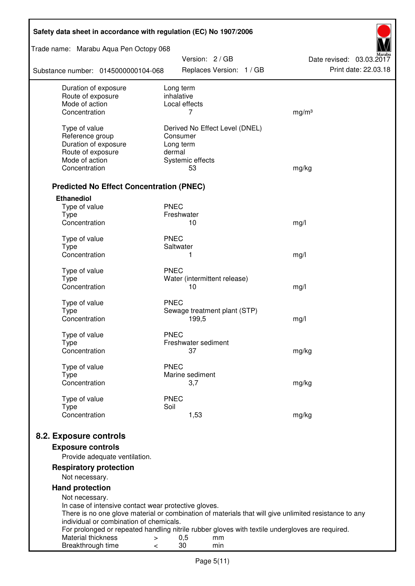| Safety data sheet in accordance with regulation (EC) No 1907/2006                                                                                |                                                                                                 |                                                  |  |  |  |  |
|--------------------------------------------------------------------------------------------------------------------------------------------------|-------------------------------------------------------------------------------------------------|--------------------------------------------------|--|--|--|--|
| Trade name: Marabu Aqua Pen Octopy 068<br>Version: 2 / GB                                                                                        |                                                                                                 |                                                  |  |  |  |  |
| Substance number: 0145000000104-068                                                                                                              | Replaces Version: 1 / GB                                                                        | Date revised: 03.03.2017<br>Print date: 22.03.18 |  |  |  |  |
| Duration of exposure<br>Route of exposure                                                                                                        | Long term<br>inhalative                                                                         |                                                  |  |  |  |  |
| Mode of action                                                                                                                                   | Local effects                                                                                   |                                                  |  |  |  |  |
| Concentration                                                                                                                                    | 7                                                                                               | mg/m <sup>3</sup>                                |  |  |  |  |
| Type of value                                                                                                                                    | Derived No Effect Level (DNEL)                                                                  |                                                  |  |  |  |  |
| Reference group                                                                                                                                  | Consumer                                                                                        |                                                  |  |  |  |  |
| Duration of exposure                                                                                                                             | Long term                                                                                       |                                                  |  |  |  |  |
| Route of exposure                                                                                                                                | dermal                                                                                          |                                                  |  |  |  |  |
| Mode of action                                                                                                                                   | Systemic effects                                                                                |                                                  |  |  |  |  |
| Concentration                                                                                                                                    | 53                                                                                              | mg/kg                                            |  |  |  |  |
| <b>Predicted No Effect Concentration (PNEC)</b>                                                                                                  |                                                                                                 |                                                  |  |  |  |  |
| <b>Ethanediol</b>                                                                                                                                |                                                                                                 |                                                  |  |  |  |  |
| Type of value                                                                                                                                    | <b>PNEC</b>                                                                                     |                                                  |  |  |  |  |
| <b>Type</b>                                                                                                                                      | Freshwater                                                                                      |                                                  |  |  |  |  |
| Concentration                                                                                                                                    | 10                                                                                              | mg/l                                             |  |  |  |  |
| Type of value                                                                                                                                    | <b>PNEC</b>                                                                                     |                                                  |  |  |  |  |
| <b>Type</b>                                                                                                                                      | Saltwater                                                                                       |                                                  |  |  |  |  |
| Concentration                                                                                                                                    | 1                                                                                               | mg/l                                             |  |  |  |  |
| Type of value                                                                                                                                    | <b>PNEC</b>                                                                                     |                                                  |  |  |  |  |
| <b>Type</b>                                                                                                                                      | Water (intermittent release)                                                                    |                                                  |  |  |  |  |
| Concentration                                                                                                                                    | 10                                                                                              | mg/l                                             |  |  |  |  |
|                                                                                                                                                  | <b>PNEC</b>                                                                                     |                                                  |  |  |  |  |
| Type of value<br><b>Type</b>                                                                                                                     | Sewage treatment plant (STP)                                                                    |                                                  |  |  |  |  |
| Concentration                                                                                                                                    | 199,5                                                                                           | mg/l                                             |  |  |  |  |
|                                                                                                                                                  |                                                                                                 |                                                  |  |  |  |  |
| Type of value                                                                                                                                    | <b>PNEC</b>                                                                                     |                                                  |  |  |  |  |
| Type<br>Concentration                                                                                                                            | Freshwater sediment<br>37                                                                       | mg/kg                                            |  |  |  |  |
|                                                                                                                                                  |                                                                                                 |                                                  |  |  |  |  |
| Type of value                                                                                                                                    | <b>PNEC</b>                                                                                     |                                                  |  |  |  |  |
| Type                                                                                                                                             | Marine sediment                                                                                 |                                                  |  |  |  |  |
| Concentration                                                                                                                                    | 3,7                                                                                             | mg/kg                                            |  |  |  |  |
| Type of value                                                                                                                                    | <b>PNEC</b>                                                                                     |                                                  |  |  |  |  |
| <b>Type</b>                                                                                                                                      | Soil                                                                                            |                                                  |  |  |  |  |
| Concentration                                                                                                                                    | 1,53                                                                                            | mg/kg                                            |  |  |  |  |
| 8.2. Exposure controls                                                                                                                           |                                                                                                 |                                                  |  |  |  |  |
| <b>Exposure controls</b>                                                                                                                         |                                                                                                 |                                                  |  |  |  |  |
| Provide adequate ventilation.                                                                                                                    |                                                                                                 |                                                  |  |  |  |  |
| <b>Respiratory protection</b>                                                                                                                    |                                                                                                 |                                                  |  |  |  |  |
| Not necessary.                                                                                                                                   |                                                                                                 |                                                  |  |  |  |  |
| <b>Hand protection</b>                                                                                                                           |                                                                                                 |                                                  |  |  |  |  |
| Not necessary.                                                                                                                                   |                                                                                                 |                                                  |  |  |  |  |
| In case of intensive contact wear protective gloves.                                                                                             |                                                                                                 |                                                  |  |  |  |  |
| There is no one glove material or combination of materials that will give unlimited resistance to any<br>individual or combination of chemicals. |                                                                                                 |                                                  |  |  |  |  |
|                                                                                                                                                  | For prolonged or repeated handling nitrile rubber gloves with textile undergloves are required. |                                                  |  |  |  |  |
| Material thickness<br>$\, > \,$                                                                                                                  | 0,5<br>mm                                                                                       |                                                  |  |  |  |  |
| Breakthrough time<br>$\,<\,$                                                                                                                     | 30<br>min                                                                                       |                                                  |  |  |  |  |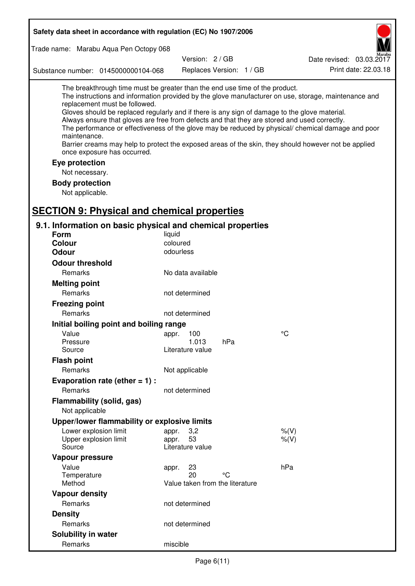| Safety data sheet in accordance with regulation (EC) No 1907/2006                                                                                                                                                                                                                                                                                                                                                                                                                                                                                                                                                                                                                  |  |  |  |  |
|------------------------------------------------------------------------------------------------------------------------------------------------------------------------------------------------------------------------------------------------------------------------------------------------------------------------------------------------------------------------------------------------------------------------------------------------------------------------------------------------------------------------------------------------------------------------------------------------------------------------------------------------------------------------------------|--|--|--|--|
| Trade name: Marabu Aqua Pen Octopy 068                                                                                                                                                                                                                                                                                                                                                                                                                                                                                                                                                                                                                                             |  |  |  |  |
| Version: 2/GB<br>Date revised: 03.03.2017                                                                                                                                                                                                                                                                                                                                                                                                                                                                                                                                                                                                                                          |  |  |  |  |
| Print date: 22.03.18<br>Replaces Version: 1 / GB<br>Substance number: 0145000000104-068                                                                                                                                                                                                                                                                                                                                                                                                                                                                                                                                                                                            |  |  |  |  |
| The breakthrough time must be greater than the end use time of the product.<br>The instructions and information provided by the glove manufacturer on use, storage, maintenance and<br>replacement must be followed.<br>Gloves should be replaced regularly and if there is any sign of damage to the glove material.<br>Always ensure that gloves are free from defects and that they are stored and used correctly.<br>The performance or effectiveness of the glove may be reduced by physical/ chemical damage and poor<br>maintenance.<br>Barrier creams may help to protect the exposed areas of the skin, they should however not be applied<br>once exposure has occurred. |  |  |  |  |
| Eye protection                                                                                                                                                                                                                                                                                                                                                                                                                                                                                                                                                                                                                                                                     |  |  |  |  |
| Not necessary.                                                                                                                                                                                                                                                                                                                                                                                                                                                                                                                                                                                                                                                                     |  |  |  |  |
| <b>Body protection</b>                                                                                                                                                                                                                                                                                                                                                                                                                                                                                                                                                                                                                                                             |  |  |  |  |
| Not applicable.                                                                                                                                                                                                                                                                                                                                                                                                                                                                                                                                                                                                                                                                    |  |  |  |  |
|                                                                                                                                                                                                                                                                                                                                                                                                                                                                                                                                                                                                                                                                                    |  |  |  |  |
| <b>SECTION 9: Physical and chemical properties</b>                                                                                                                                                                                                                                                                                                                                                                                                                                                                                                                                                                                                                                 |  |  |  |  |
| 9.1. Information on basic physical and chemical properties                                                                                                                                                                                                                                                                                                                                                                                                                                                                                                                                                                                                                         |  |  |  |  |
| Form<br>liquid                                                                                                                                                                                                                                                                                                                                                                                                                                                                                                                                                                                                                                                                     |  |  |  |  |
| coloured<br><b>Colour</b><br>odourless<br><b>Odour</b>                                                                                                                                                                                                                                                                                                                                                                                                                                                                                                                                                                                                                             |  |  |  |  |
|                                                                                                                                                                                                                                                                                                                                                                                                                                                                                                                                                                                                                                                                                    |  |  |  |  |
| <b>Odour threshold</b>                                                                                                                                                                                                                                                                                                                                                                                                                                                                                                                                                                                                                                                             |  |  |  |  |
| Remarks<br>No data available                                                                                                                                                                                                                                                                                                                                                                                                                                                                                                                                                                                                                                                       |  |  |  |  |
| <b>Melting point</b>                                                                                                                                                                                                                                                                                                                                                                                                                                                                                                                                                                                                                                                               |  |  |  |  |
| Remarks<br>not determined                                                                                                                                                                                                                                                                                                                                                                                                                                                                                                                                                                                                                                                          |  |  |  |  |
| <b>Freezing point</b>                                                                                                                                                                                                                                                                                                                                                                                                                                                                                                                                                                                                                                                              |  |  |  |  |
| Remarks<br>not determined                                                                                                                                                                                                                                                                                                                                                                                                                                                                                                                                                                                                                                                          |  |  |  |  |
| Initial boiling point and boiling range                                                                                                                                                                                                                                                                                                                                                                                                                                                                                                                                                                                                                                            |  |  |  |  |
| $\rm ^{\circ}C$<br>Value<br>appr. 100<br>hPa<br>1.013<br>Pressure                                                                                                                                                                                                                                                                                                                                                                                                                                                                                                                                                                                                                  |  |  |  |  |
| Source<br>Literature value                                                                                                                                                                                                                                                                                                                                                                                                                                                                                                                                                                                                                                                         |  |  |  |  |
| <b>Flash point</b>                                                                                                                                                                                                                                                                                                                                                                                                                                                                                                                                                                                                                                                                 |  |  |  |  |
| Remarks<br>Not applicable                                                                                                                                                                                                                                                                                                                                                                                                                                                                                                                                                                                                                                                          |  |  |  |  |
| Evaporation rate (ether $= 1$ ) :                                                                                                                                                                                                                                                                                                                                                                                                                                                                                                                                                                                                                                                  |  |  |  |  |
| Remarks<br>not determined                                                                                                                                                                                                                                                                                                                                                                                                                                                                                                                                                                                                                                                          |  |  |  |  |
| Flammability (solid, gas)                                                                                                                                                                                                                                                                                                                                                                                                                                                                                                                                                                                                                                                          |  |  |  |  |
| Not applicable                                                                                                                                                                                                                                                                                                                                                                                                                                                                                                                                                                                                                                                                     |  |  |  |  |
| Upper/lower flammability or explosive limits                                                                                                                                                                                                                                                                                                                                                                                                                                                                                                                                                                                                                                       |  |  |  |  |
| Lower explosion limit<br>3,2<br>$%$ (V)<br>appr.                                                                                                                                                                                                                                                                                                                                                                                                                                                                                                                                                                                                                                   |  |  |  |  |
| 53<br>$%$ $(V)$<br>Upper explosion limit<br>appr.                                                                                                                                                                                                                                                                                                                                                                                                                                                                                                                                                                                                                                  |  |  |  |  |
| Literature value<br>Source                                                                                                                                                                                                                                                                                                                                                                                                                                                                                                                                                                                                                                                         |  |  |  |  |
| Vapour pressure                                                                                                                                                                                                                                                                                                                                                                                                                                                                                                                                                                                                                                                                    |  |  |  |  |
| hPa<br>Value<br>23<br>appr.<br>°C                                                                                                                                                                                                                                                                                                                                                                                                                                                                                                                                                                                                                                                  |  |  |  |  |
| 20<br>Temperature<br>Method<br>Value taken from the literature                                                                                                                                                                                                                                                                                                                                                                                                                                                                                                                                                                                                                     |  |  |  |  |
| <b>Vapour density</b>                                                                                                                                                                                                                                                                                                                                                                                                                                                                                                                                                                                                                                                              |  |  |  |  |
| Remarks<br>not determined                                                                                                                                                                                                                                                                                                                                                                                                                                                                                                                                                                                                                                                          |  |  |  |  |
| <b>Density</b>                                                                                                                                                                                                                                                                                                                                                                                                                                                                                                                                                                                                                                                                     |  |  |  |  |
| Remarks<br>not determined                                                                                                                                                                                                                                                                                                                                                                                                                                                                                                                                                                                                                                                          |  |  |  |  |
| Solubility in water                                                                                                                                                                                                                                                                                                                                                                                                                                                                                                                                                                                                                                                                |  |  |  |  |
| Remarks<br>miscible                                                                                                                                                                                                                                                                                                                                                                                                                                                                                                                                                                                                                                                                |  |  |  |  |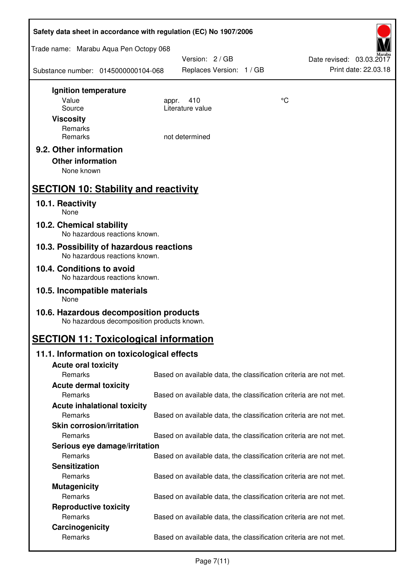| Safety data sheet in accordance with regulation (EC) No 1907/2006                    |                                                                   |    |                                                  |  |  |
|--------------------------------------------------------------------------------------|-------------------------------------------------------------------|----|--------------------------------------------------|--|--|
| Trade name: Marabu Aqua Pen Octopy 068                                               |                                                                   |    |                                                  |  |  |
| Substance number: 0145000000104-068                                                  | Version: 2 / GB<br>Replaces Version: 1 / GB                       |    | Date revised: 03.03.2017<br>Print date: 22.03.18 |  |  |
| Ignition temperature                                                                 |                                                                   |    |                                                  |  |  |
| Value                                                                                | 410<br>appr.<br>Literature value                                  | °C |                                                  |  |  |
| Source<br><b>Viscosity</b>                                                           |                                                                   |    |                                                  |  |  |
| Remarks                                                                              |                                                                   |    |                                                  |  |  |
| Remarks                                                                              | not determined                                                    |    |                                                  |  |  |
| 9.2. Other information<br><b>Other information</b><br>None known                     |                                                                   |    |                                                  |  |  |
| <b>SECTION 10: Stability and reactivity</b>                                          |                                                                   |    |                                                  |  |  |
| 10.1. Reactivity<br>None                                                             |                                                                   |    |                                                  |  |  |
| 10.2. Chemical stability<br>No hazardous reactions known.                            |                                                                   |    |                                                  |  |  |
| 10.3. Possibility of hazardous reactions<br>No hazardous reactions known.            |                                                                   |    |                                                  |  |  |
| 10.4. Conditions to avoid<br>No hazardous reactions known.                           |                                                                   |    |                                                  |  |  |
| 10.5. Incompatible materials<br>None                                                 |                                                                   |    |                                                  |  |  |
| 10.6. Hazardous decomposition products<br>No hazardous decomposition products known. |                                                                   |    |                                                  |  |  |
| <b>SECTION 11: Toxicological information</b>                                         |                                                                   |    |                                                  |  |  |
| 11.1. Information on toxicological effects                                           |                                                                   |    |                                                  |  |  |
| <b>Acute oral toxicity</b>                                                           |                                                                   |    |                                                  |  |  |
| Remarks                                                                              | Based on available data, the classification criteria are not met. |    |                                                  |  |  |
| <b>Acute dermal toxicity</b>                                                         |                                                                   |    |                                                  |  |  |
| Remarks<br><b>Acute inhalational toxicity</b>                                        | Based on available data, the classification criteria are not met. |    |                                                  |  |  |
| Remarks                                                                              | Based on available data, the classification criteria are not met. |    |                                                  |  |  |
| <b>Skin corrosion/irritation</b>                                                     |                                                                   |    |                                                  |  |  |
| Remarks                                                                              | Based on available data, the classification criteria are not met. |    |                                                  |  |  |
| Serious eye damage/irritation                                                        |                                                                   |    |                                                  |  |  |
| Remarks                                                                              | Based on available data, the classification criteria are not met. |    |                                                  |  |  |
| <b>Sensitization</b>                                                                 |                                                                   |    |                                                  |  |  |
| Remarks                                                                              | Based on available data, the classification criteria are not met. |    |                                                  |  |  |
| <b>Mutagenicity</b>                                                                  |                                                                   |    |                                                  |  |  |
| Remarks                                                                              | Based on available data, the classification criteria are not met. |    |                                                  |  |  |
| <b>Reproductive toxicity</b><br>Remarks                                              | Based on available data, the classification criteria are not met. |    |                                                  |  |  |
| Carcinogenicity                                                                      |                                                                   |    |                                                  |  |  |
| Remarks                                                                              | Based on available data, the classification criteria are not met. |    |                                                  |  |  |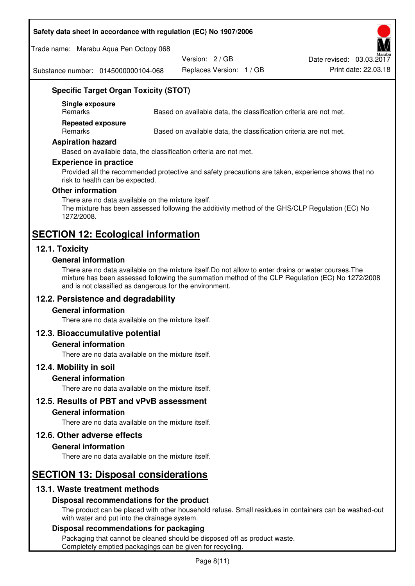#### **Safety data sheet in accordance with regulation (EC) No 1907/2006**

Trade name: Marabu Aqua Pen Octopy 068

Version: 2 / GB

Replaces Version: 1 / GB Print date: 22.03.18 Date revised: 03.03.2017

Substance number: 0145000000104-068

## **Specific Target Organ Toxicity (STOT)**

**Single exposure** 

Based on available data, the classification criteria are not met.

**Repeated exposure** 

Remarks Based on available data, the classification criteria are not met.

#### **Aspiration hazard**

Based on available data, the classification criteria are not met.

#### **Experience in practice**

Provided all the recommended protective and safety precautions are taken, experience shows that no risk to health can be expected.

#### **Other information**

There are no data available on the mixture itself. The mixture has been assessed following the additivity method of the GHS/CLP Regulation (EC) No 1272/2008.

## **SECTION 12: Ecological information**

## **12.1. Toxicity**

#### **General information**

There are no data available on the mixture itself.Do not allow to enter drains or water courses.The mixture has been assessed following the summation method of the CLP Regulation (EC) No 1272/2008 and is not classified as dangerous for the environment.

## **12.2. Persistence and degradability**

#### **General information**

There are no data available on the mixture itself.

#### **12.3. Bioaccumulative potential**

#### **General information**

There are no data available on the mixture itself.

#### **12.4. Mobility in soil**

#### **General information**

There are no data available on the mixture itself.

**12.5. Results of PBT and vPvB assessment** 

#### **General information**

There are no data available on the mixture itself.

#### **12.6. Other adverse effects**

#### **General information**

There are no data available on the mixture itself.

# **SECTION 13: Disposal considerations**

## **13.1. Waste treatment methods**

#### **Disposal recommendations for the product**

The product can be placed with other household refuse. Small residues in containers can be washed-out with water and put into the drainage system.

#### **Disposal recommendations for packaging**

Packaging that cannot be cleaned should be disposed off as product waste. Completely emptied packagings can be given for recycling.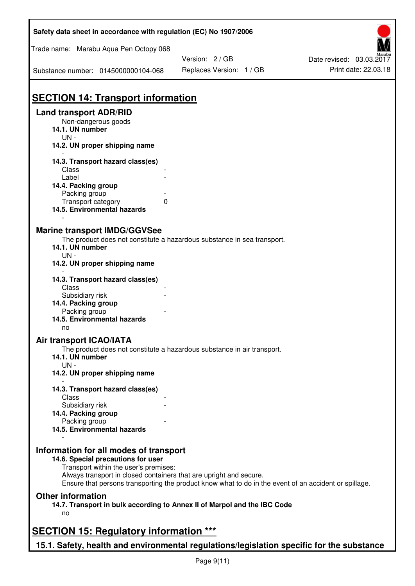| Safety data sheet in accordance with regulation (EC) No 1907/2006                                                                                                                                                                                                                                    |                                             |                                                  |  |  |
|------------------------------------------------------------------------------------------------------------------------------------------------------------------------------------------------------------------------------------------------------------------------------------------------------|---------------------------------------------|--------------------------------------------------|--|--|
| Trade name: Marabu Aqua Pen Octopy 068                                                                                                                                                                                                                                                               |                                             |                                                  |  |  |
| Substance number: 0145000000104-068                                                                                                                                                                                                                                                                  | Version: 2 / GB<br>Replaces Version: 1 / GB | Date revised: 03.03.2017<br>Print date: 22.03.18 |  |  |
| <b>SECTION 14: Transport information</b>                                                                                                                                                                                                                                                             |                                             |                                                  |  |  |
| <b>Land transport ADR/RID</b><br>Non-dangerous goods<br>14.1. UN number<br>$UN -$                                                                                                                                                                                                                    |                                             |                                                  |  |  |
| 14.2. UN proper shipping name                                                                                                                                                                                                                                                                        |                                             |                                                  |  |  |
| 14.3. Transport hazard class(es)<br>Class<br>Label<br>14.4. Packing group<br>Packing group<br>Transport category<br>0<br>14.5. Environmental hazards                                                                                                                                                 |                                             |                                                  |  |  |
| <b>Marine transport IMDG/GGVSee</b><br>The product does not constitute a hazardous substance in sea transport.<br>14.1. UN number<br>$UN -$<br>14.2. UN proper shipping name                                                                                                                         |                                             |                                                  |  |  |
| 14.3. Transport hazard class(es)<br>Class                                                                                                                                                                                                                                                            |                                             |                                                  |  |  |
| Subsidiary risk<br>14.4. Packing group<br>Packing group<br>14.5. Environmental hazards<br>no                                                                                                                                                                                                         |                                             |                                                  |  |  |
| <b>Air transport ICAO/IATA</b><br>The product does not constitute a hazardous substance in air transport.<br>14.1. UN number<br>$UN -$<br>14.2. UN proper shipping name                                                                                                                              |                                             |                                                  |  |  |
| 14.3. Transport hazard class(es)                                                                                                                                                                                                                                                                     |                                             |                                                  |  |  |
| Class<br>Subsidiary risk<br>14.4. Packing group<br>Packing group                                                                                                                                                                                                                                     |                                             |                                                  |  |  |
| 14.5. Environmental hazards                                                                                                                                                                                                                                                                          |                                             |                                                  |  |  |
| Information for all modes of transport<br>14.6. Special precautions for user<br>Transport within the user's premises:<br>Always transport in closed containers that are upright and secure.<br>Ensure that persons transporting the product know what to do in the event of an accident or spillage. |                                             |                                                  |  |  |
| <b>Other information</b><br>14.7. Transport in bulk according to Annex II of Marpol and the IBC Code<br>no                                                                                                                                                                                           |                                             |                                                  |  |  |
| <b>SECTION 15: Regulatory information ***</b>                                                                                                                                                                                                                                                        |                                             |                                                  |  |  |
| 15.1. Safety, health and environmental regulations/legislation specific for the substance                                                                                                                                                                                                            |                                             |                                                  |  |  |

Ī

٦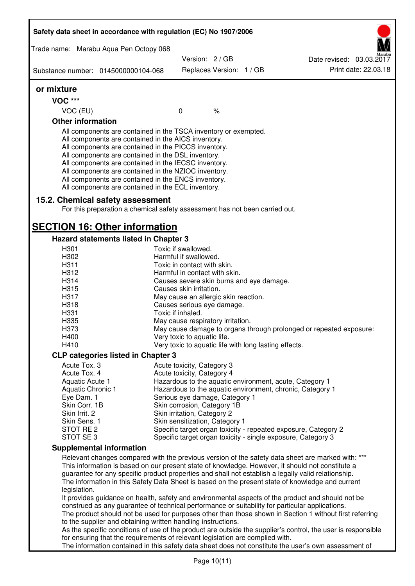| Safety data sheet in accordance with regulation (EC) No 1907/2006<br>Trade name: Marabu Aqua Pen Octopy 068<br>Version: 2/GB<br>Date revised: 03.03.2017<br>Replaces Version: 1 / GB<br>Substance number: 0145000000104-068<br>or mixture<br><b>VOC ***</b><br>VOC (EU)<br>$\mathbf 0$<br>$\%$<br><b>Other information</b><br>All components are contained in the TSCA inventory or exempted.<br>All components are contained in the AICS inventory.<br>All components are contained in the PICCS inventory.<br>All components are contained in the DSL inventory.<br>All components are contained in the IECSC inventory.<br>All components are contained in the NZIOC inventory.<br>All components are contained in the ENCS inventory.<br>All components are contained in the ECL inventory.<br>15.2. Chemical safety assessment<br>For this preparation a chemical safety assessment has not been carried out.<br><b>SECTION 16: Other information</b><br>Hazard statements listed in Chapter 3<br>H301<br>Toxic if swallowed.<br>H302<br>Harmful if swallowed.<br>H311<br>Toxic in contact with skin.<br>H312<br>Harmful in contact with skin.<br>H314<br>Causes severe skin burns and eye damage.<br>H315<br>Causes skin irritation.<br>H317<br>May cause an allergic skin reaction.<br>H318<br>Causes serious eye damage.<br>H331<br>Toxic if inhaled.<br>H335<br>May cause respiratory irritation.<br>H373<br>May cause damage to organs through prolonged or repeated exposure:<br>H400<br>Very toxic to aquatic life.<br>H410<br>Very toxic to aquatic life with long lasting effects.<br><b>CLP categories listed in Chapter 3</b><br>Acute Tox. 3<br>Acute toxicity, Category 3<br>Acute Tox. 4<br>Acute toxicity, Category 4<br>Aquatic Acute 1<br>Hazardous to the aquatic environment, acute, Category 1<br>Hazardous to the aquatic environment, chronic, Category 1<br>Aquatic Chronic 1<br>Eye Dam. 1<br>Serious eye damage, Category 1<br>Skin Corr. 1B<br>Skin corrosion, Category 1B<br>Skin Irrit. 2<br>Skin irritation, Category 2<br>Skin sensitization, Category 1<br>Skin Sens. 1<br>STOT RE 2<br>Specific target organ toxicity - repeated exposure, Category 2<br>STOT SE3<br>Specific target organ toxicity - single exposure, Category 3<br><b>Supplemental information</b><br>Relevant changes compared with the previous version of the safety data sheet are marked with: ***<br>This information is based on our present state of knowledge. However, it should not constitute a<br>guarantee for any specific product properties and shall not establish a legally valid relationship.<br>The information in this Safety Data Sheet is based on the present state of knowledge and current<br>legislation.<br>It provides guidance on health, safety and environmental aspects of the product and should not be<br>construed as any guarantee of technical performance or suitability for particular applications.<br>The product should not be used for purposes other than those shown in Section 1 without first referring<br>to the supplier and obtaining written handling instructions. |  |  |                      |
|----------------------------------------------------------------------------------------------------------------------------------------------------------------------------------------------------------------------------------------------------------------------------------------------------------------------------------------------------------------------------------------------------------------------------------------------------------------------------------------------------------------------------------------------------------------------------------------------------------------------------------------------------------------------------------------------------------------------------------------------------------------------------------------------------------------------------------------------------------------------------------------------------------------------------------------------------------------------------------------------------------------------------------------------------------------------------------------------------------------------------------------------------------------------------------------------------------------------------------------------------------------------------------------------------------------------------------------------------------------------------------------------------------------------------------------------------------------------------------------------------------------------------------------------------------------------------------------------------------------------------------------------------------------------------------------------------------------------------------------------------------------------------------------------------------------------------------------------------------------------------------------------------------------------------------------------------------------------------------------------------------------------------------------------------------------------------------------------------------------------------------------------------------------------------------------------------------------------------------------------------------------------------------------------------------------------------------------------------------------------------------------------------------------------------------------------------------------------------------------------------------------------------------------------------------------------------------------------------------------------------------------------------------------------------------------------------------------------------------------------------------------------------------------------------------------------------------------------------------------------------------------------------------------------------------------------------------------------------------------------------------------------------------------------------------------------------------------------------------------------------------|--|--|----------------------|
|                                                                                                                                                                                                                                                                                                                                                                                                                                                                                                                                                                                                                                                                                                                                                                                                                                                                                                                                                                                                                                                                                                                                                                                                                                                                                                                                                                                                                                                                                                                                                                                                                                                                                                                                                                                                                                                                                                                                                                                                                                                                                                                                                                                                                                                                                                                                                                                                                                                                                                                                                                                                                                                                                                                                                                                                                                                                                                                                                                                                                                                                                                                                  |  |  |                      |
|                                                                                                                                                                                                                                                                                                                                                                                                                                                                                                                                                                                                                                                                                                                                                                                                                                                                                                                                                                                                                                                                                                                                                                                                                                                                                                                                                                                                                                                                                                                                                                                                                                                                                                                                                                                                                                                                                                                                                                                                                                                                                                                                                                                                                                                                                                                                                                                                                                                                                                                                                                                                                                                                                                                                                                                                                                                                                                                                                                                                                                                                                                                                  |  |  |                      |
|                                                                                                                                                                                                                                                                                                                                                                                                                                                                                                                                                                                                                                                                                                                                                                                                                                                                                                                                                                                                                                                                                                                                                                                                                                                                                                                                                                                                                                                                                                                                                                                                                                                                                                                                                                                                                                                                                                                                                                                                                                                                                                                                                                                                                                                                                                                                                                                                                                                                                                                                                                                                                                                                                                                                                                                                                                                                                                                                                                                                                                                                                                                                  |  |  | Print date: 22.03.18 |
|                                                                                                                                                                                                                                                                                                                                                                                                                                                                                                                                                                                                                                                                                                                                                                                                                                                                                                                                                                                                                                                                                                                                                                                                                                                                                                                                                                                                                                                                                                                                                                                                                                                                                                                                                                                                                                                                                                                                                                                                                                                                                                                                                                                                                                                                                                                                                                                                                                                                                                                                                                                                                                                                                                                                                                                                                                                                                                                                                                                                                                                                                                                                  |  |  |                      |
|                                                                                                                                                                                                                                                                                                                                                                                                                                                                                                                                                                                                                                                                                                                                                                                                                                                                                                                                                                                                                                                                                                                                                                                                                                                                                                                                                                                                                                                                                                                                                                                                                                                                                                                                                                                                                                                                                                                                                                                                                                                                                                                                                                                                                                                                                                                                                                                                                                                                                                                                                                                                                                                                                                                                                                                                                                                                                                                                                                                                                                                                                                                                  |  |  |                      |
|                                                                                                                                                                                                                                                                                                                                                                                                                                                                                                                                                                                                                                                                                                                                                                                                                                                                                                                                                                                                                                                                                                                                                                                                                                                                                                                                                                                                                                                                                                                                                                                                                                                                                                                                                                                                                                                                                                                                                                                                                                                                                                                                                                                                                                                                                                                                                                                                                                                                                                                                                                                                                                                                                                                                                                                                                                                                                                                                                                                                                                                                                                                                  |  |  |                      |
|                                                                                                                                                                                                                                                                                                                                                                                                                                                                                                                                                                                                                                                                                                                                                                                                                                                                                                                                                                                                                                                                                                                                                                                                                                                                                                                                                                                                                                                                                                                                                                                                                                                                                                                                                                                                                                                                                                                                                                                                                                                                                                                                                                                                                                                                                                                                                                                                                                                                                                                                                                                                                                                                                                                                                                                                                                                                                                                                                                                                                                                                                                                                  |  |  |                      |
|                                                                                                                                                                                                                                                                                                                                                                                                                                                                                                                                                                                                                                                                                                                                                                                                                                                                                                                                                                                                                                                                                                                                                                                                                                                                                                                                                                                                                                                                                                                                                                                                                                                                                                                                                                                                                                                                                                                                                                                                                                                                                                                                                                                                                                                                                                                                                                                                                                                                                                                                                                                                                                                                                                                                                                                                                                                                                                                                                                                                                                                                                                                                  |  |  |                      |
|                                                                                                                                                                                                                                                                                                                                                                                                                                                                                                                                                                                                                                                                                                                                                                                                                                                                                                                                                                                                                                                                                                                                                                                                                                                                                                                                                                                                                                                                                                                                                                                                                                                                                                                                                                                                                                                                                                                                                                                                                                                                                                                                                                                                                                                                                                                                                                                                                                                                                                                                                                                                                                                                                                                                                                                                                                                                                                                                                                                                                                                                                                                                  |  |  |                      |
|                                                                                                                                                                                                                                                                                                                                                                                                                                                                                                                                                                                                                                                                                                                                                                                                                                                                                                                                                                                                                                                                                                                                                                                                                                                                                                                                                                                                                                                                                                                                                                                                                                                                                                                                                                                                                                                                                                                                                                                                                                                                                                                                                                                                                                                                                                                                                                                                                                                                                                                                                                                                                                                                                                                                                                                                                                                                                                                                                                                                                                                                                                                                  |  |  |                      |
|                                                                                                                                                                                                                                                                                                                                                                                                                                                                                                                                                                                                                                                                                                                                                                                                                                                                                                                                                                                                                                                                                                                                                                                                                                                                                                                                                                                                                                                                                                                                                                                                                                                                                                                                                                                                                                                                                                                                                                                                                                                                                                                                                                                                                                                                                                                                                                                                                                                                                                                                                                                                                                                                                                                                                                                                                                                                                                                                                                                                                                                                                                                                  |  |  |                      |
|                                                                                                                                                                                                                                                                                                                                                                                                                                                                                                                                                                                                                                                                                                                                                                                                                                                                                                                                                                                                                                                                                                                                                                                                                                                                                                                                                                                                                                                                                                                                                                                                                                                                                                                                                                                                                                                                                                                                                                                                                                                                                                                                                                                                                                                                                                                                                                                                                                                                                                                                                                                                                                                                                                                                                                                                                                                                                                                                                                                                                                                                                                                                  |  |  |                      |
|                                                                                                                                                                                                                                                                                                                                                                                                                                                                                                                                                                                                                                                                                                                                                                                                                                                                                                                                                                                                                                                                                                                                                                                                                                                                                                                                                                                                                                                                                                                                                                                                                                                                                                                                                                                                                                                                                                                                                                                                                                                                                                                                                                                                                                                                                                                                                                                                                                                                                                                                                                                                                                                                                                                                                                                                                                                                                                                                                                                                                                                                                                                                  |  |  |                      |
|                                                                                                                                                                                                                                                                                                                                                                                                                                                                                                                                                                                                                                                                                                                                                                                                                                                                                                                                                                                                                                                                                                                                                                                                                                                                                                                                                                                                                                                                                                                                                                                                                                                                                                                                                                                                                                                                                                                                                                                                                                                                                                                                                                                                                                                                                                                                                                                                                                                                                                                                                                                                                                                                                                                                                                                                                                                                                                                                                                                                                                                                                                                                  |  |  |                      |
|                                                                                                                                                                                                                                                                                                                                                                                                                                                                                                                                                                                                                                                                                                                                                                                                                                                                                                                                                                                                                                                                                                                                                                                                                                                                                                                                                                                                                                                                                                                                                                                                                                                                                                                                                                                                                                                                                                                                                                                                                                                                                                                                                                                                                                                                                                                                                                                                                                                                                                                                                                                                                                                                                                                                                                                                                                                                                                                                                                                                                                                                                                                                  |  |  |                      |
|                                                                                                                                                                                                                                                                                                                                                                                                                                                                                                                                                                                                                                                                                                                                                                                                                                                                                                                                                                                                                                                                                                                                                                                                                                                                                                                                                                                                                                                                                                                                                                                                                                                                                                                                                                                                                                                                                                                                                                                                                                                                                                                                                                                                                                                                                                                                                                                                                                                                                                                                                                                                                                                                                                                                                                                                                                                                                                                                                                                                                                                                                                                                  |  |  |                      |
|                                                                                                                                                                                                                                                                                                                                                                                                                                                                                                                                                                                                                                                                                                                                                                                                                                                                                                                                                                                                                                                                                                                                                                                                                                                                                                                                                                                                                                                                                                                                                                                                                                                                                                                                                                                                                                                                                                                                                                                                                                                                                                                                                                                                                                                                                                                                                                                                                                                                                                                                                                                                                                                                                                                                                                                                                                                                                                                                                                                                                                                                                                                                  |  |  |                      |
|                                                                                                                                                                                                                                                                                                                                                                                                                                                                                                                                                                                                                                                                                                                                                                                                                                                                                                                                                                                                                                                                                                                                                                                                                                                                                                                                                                                                                                                                                                                                                                                                                                                                                                                                                                                                                                                                                                                                                                                                                                                                                                                                                                                                                                                                                                                                                                                                                                                                                                                                                                                                                                                                                                                                                                                                                                                                                                                                                                                                                                                                                                                                  |  |  |                      |
|                                                                                                                                                                                                                                                                                                                                                                                                                                                                                                                                                                                                                                                                                                                                                                                                                                                                                                                                                                                                                                                                                                                                                                                                                                                                                                                                                                                                                                                                                                                                                                                                                                                                                                                                                                                                                                                                                                                                                                                                                                                                                                                                                                                                                                                                                                                                                                                                                                                                                                                                                                                                                                                                                                                                                                                                                                                                                                                                                                                                                                                                                                                                  |  |  |                      |
|                                                                                                                                                                                                                                                                                                                                                                                                                                                                                                                                                                                                                                                                                                                                                                                                                                                                                                                                                                                                                                                                                                                                                                                                                                                                                                                                                                                                                                                                                                                                                                                                                                                                                                                                                                                                                                                                                                                                                                                                                                                                                                                                                                                                                                                                                                                                                                                                                                                                                                                                                                                                                                                                                                                                                                                                                                                                                                                                                                                                                                                                                                                                  |  |  |                      |
|                                                                                                                                                                                                                                                                                                                                                                                                                                                                                                                                                                                                                                                                                                                                                                                                                                                                                                                                                                                                                                                                                                                                                                                                                                                                                                                                                                                                                                                                                                                                                                                                                                                                                                                                                                                                                                                                                                                                                                                                                                                                                                                                                                                                                                                                                                                                                                                                                                                                                                                                                                                                                                                                                                                                                                                                                                                                                                                                                                                                                                                                                                                                  |  |  |                      |
|                                                                                                                                                                                                                                                                                                                                                                                                                                                                                                                                                                                                                                                                                                                                                                                                                                                                                                                                                                                                                                                                                                                                                                                                                                                                                                                                                                                                                                                                                                                                                                                                                                                                                                                                                                                                                                                                                                                                                                                                                                                                                                                                                                                                                                                                                                                                                                                                                                                                                                                                                                                                                                                                                                                                                                                                                                                                                                                                                                                                                                                                                                                                  |  |  |                      |
|                                                                                                                                                                                                                                                                                                                                                                                                                                                                                                                                                                                                                                                                                                                                                                                                                                                                                                                                                                                                                                                                                                                                                                                                                                                                                                                                                                                                                                                                                                                                                                                                                                                                                                                                                                                                                                                                                                                                                                                                                                                                                                                                                                                                                                                                                                                                                                                                                                                                                                                                                                                                                                                                                                                                                                                                                                                                                                                                                                                                                                                                                                                                  |  |  |                      |
|                                                                                                                                                                                                                                                                                                                                                                                                                                                                                                                                                                                                                                                                                                                                                                                                                                                                                                                                                                                                                                                                                                                                                                                                                                                                                                                                                                                                                                                                                                                                                                                                                                                                                                                                                                                                                                                                                                                                                                                                                                                                                                                                                                                                                                                                                                                                                                                                                                                                                                                                                                                                                                                                                                                                                                                                                                                                                                                                                                                                                                                                                                                                  |  |  |                      |
|                                                                                                                                                                                                                                                                                                                                                                                                                                                                                                                                                                                                                                                                                                                                                                                                                                                                                                                                                                                                                                                                                                                                                                                                                                                                                                                                                                                                                                                                                                                                                                                                                                                                                                                                                                                                                                                                                                                                                                                                                                                                                                                                                                                                                                                                                                                                                                                                                                                                                                                                                                                                                                                                                                                                                                                                                                                                                                                                                                                                                                                                                                                                  |  |  |                      |
|                                                                                                                                                                                                                                                                                                                                                                                                                                                                                                                                                                                                                                                                                                                                                                                                                                                                                                                                                                                                                                                                                                                                                                                                                                                                                                                                                                                                                                                                                                                                                                                                                                                                                                                                                                                                                                                                                                                                                                                                                                                                                                                                                                                                                                                                                                                                                                                                                                                                                                                                                                                                                                                                                                                                                                                                                                                                                                                                                                                                                                                                                                                                  |  |  |                      |
|                                                                                                                                                                                                                                                                                                                                                                                                                                                                                                                                                                                                                                                                                                                                                                                                                                                                                                                                                                                                                                                                                                                                                                                                                                                                                                                                                                                                                                                                                                                                                                                                                                                                                                                                                                                                                                                                                                                                                                                                                                                                                                                                                                                                                                                                                                                                                                                                                                                                                                                                                                                                                                                                                                                                                                                                                                                                                                                                                                                                                                                                                                                                  |  |  |                      |
|                                                                                                                                                                                                                                                                                                                                                                                                                                                                                                                                                                                                                                                                                                                                                                                                                                                                                                                                                                                                                                                                                                                                                                                                                                                                                                                                                                                                                                                                                                                                                                                                                                                                                                                                                                                                                                                                                                                                                                                                                                                                                                                                                                                                                                                                                                                                                                                                                                                                                                                                                                                                                                                                                                                                                                                                                                                                                                                                                                                                                                                                                                                                  |  |  |                      |
|                                                                                                                                                                                                                                                                                                                                                                                                                                                                                                                                                                                                                                                                                                                                                                                                                                                                                                                                                                                                                                                                                                                                                                                                                                                                                                                                                                                                                                                                                                                                                                                                                                                                                                                                                                                                                                                                                                                                                                                                                                                                                                                                                                                                                                                                                                                                                                                                                                                                                                                                                                                                                                                                                                                                                                                                                                                                                                                                                                                                                                                                                                                                  |  |  |                      |
|                                                                                                                                                                                                                                                                                                                                                                                                                                                                                                                                                                                                                                                                                                                                                                                                                                                                                                                                                                                                                                                                                                                                                                                                                                                                                                                                                                                                                                                                                                                                                                                                                                                                                                                                                                                                                                                                                                                                                                                                                                                                                                                                                                                                                                                                                                                                                                                                                                                                                                                                                                                                                                                                                                                                                                                                                                                                                                                                                                                                                                                                                                                                  |  |  |                      |
|                                                                                                                                                                                                                                                                                                                                                                                                                                                                                                                                                                                                                                                                                                                                                                                                                                                                                                                                                                                                                                                                                                                                                                                                                                                                                                                                                                                                                                                                                                                                                                                                                                                                                                                                                                                                                                                                                                                                                                                                                                                                                                                                                                                                                                                                                                                                                                                                                                                                                                                                                                                                                                                                                                                                                                                                                                                                                                                                                                                                                                                                                                                                  |  |  |                      |
|                                                                                                                                                                                                                                                                                                                                                                                                                                                                                                                                                                                                                                                                                                                                                                                                                                                                                                                                                                                                                                                                                                                                                                                                                                                                                                                                                                                                                                                                                                                                                                                                                                                                                                                                                                                                                                                                                                                                                                                                                                                                                                                                                                                                                                                                                                                                                                                                                                                                                                                                                                                                                                                                                                                                                                                                                                                                                                                                                                                                                                                                                                                                  |  |  |                      |
|                                                                                                                                                                                                                                                                                                                                                                                                                                                                                                                                                                                                                                                                                                                                                                                                                                                                                                                                                                                                                                                                                                                                                                                                                                                                                                                                                                                                                                                                                                                                                                                                                                                                                                                                                                                                                                                                                                                                                                                                                                                                                                                                                                                                                                                                                                                                                                                                                                                                                                                                                                                                                                                                                                                                                                                                                                                                                                                                                                                                                                                                                                                                  |  |  |                      |
|                                                                                                                                                                                                                                                                                                                                                                                                                                                                                                                                                                                                                                                                                                                                                                                                                                                                                                                                                                                                                                                                                                                                                                                                                                                                                                                                                                                                                                                                                                                                                                                                                                                                                                                                                                                                                                                                                                                                                                                                                                                                                                                                                                                                                                                                                                                                                                                                                                                                                                                                                                                                                                                                                                                                                                                                                                                                                                                                                                                                                                                                                                                                  |  |  |                      |
|                                                                                                                                                                                                                                                                                                                                                                                                                                                                                                                                                                                                                                                                                                                                                                                                                                                                                                                                                                                                                                                                                                                                                                                                                                                                                                                                                                                                                                                                                                                                                                                                                                                                                                                                                                                                                                                                                                                                                                                                                                                                                                                                                                                                                                                                                                                                                                                                                                                                                                                                                                                                                                                                                                                                                                                                                                                                                                                                                                                                                                                                                                                                  |  |  |                      |
|                                                                                                                                                                                                                                                                                                                                                                                                                                                                                                                                                                                                                                                                                                                                                                                                                                                                                                                                                                                                                                                                                                                                                                                                                                                                                                                                                                                                                                                                                                                                                                                                                                                                                                                                                                                                                                                                                                                                                                                                                                                                                                                                                                                                                                                                                                                                                                                                                                                                                                                                                                                                                                                                                                                                                                                                                                                                                                                                                                                                                                                                                                                                  |  |  |                      |
|                                                                                                                                                                                                                                                                                                                                                                                                                                                                                                                                                                                                                                                                                                                                                                                                                                                                                                                                                                                                                                                                                                                                                                                                                                                                                                                                                                                                                                                                                                                                                                                                                                                                                                                                                                                                                                                                                                                                                                                                                                                                                                                                                                                                                                                                                                                                                                                                                                                                                                                                                                                                                                                                                                                                                                                                                                                                                                                                                                                                                                                                                                                                  |  |  |                      |
|                                                                                                                                                                                                                                                                                                                                                                                                                                                                                                                                                                                                                                                                                                                                                                                                                                                                                                                                                                                                                                                                                                                                                                                                                                                                                                                                                                                                                                                                                                                                                                                                                                                                                                                                                                                                                                                                                                                                                                                                                                                                                                                                                                                                                                                                                                                                                                                                                                                                                                                                                                                                                                                                                                                                                                                                                                                                                                                                                                                                                                                                                                                                  |  |  |                      |
| As the specific conditions of use of the product are outside the supplier's control, the user is responsible<br>for ensuring that the requirements of relevant legislation are complied with.<br>The information contained in this safety data sheet does not constitute the user's own assessment of                                                                                                                                                                                                                                                                                                                                                                                                                                                                                                                                                                                                                                                                                                                                                                                                                                                                                                                                                                                                                                                                                                                                                                                                                                                                                                                                                                                                                                                                                                                                                                                                                                                                                                                                                                                                                                                                                                                                                                                                                                                                                                                                                                                                                                                                                                                                                                                                                                                                                                                                                                                                                                                                                                                                                                                                                            |  |  |                      |